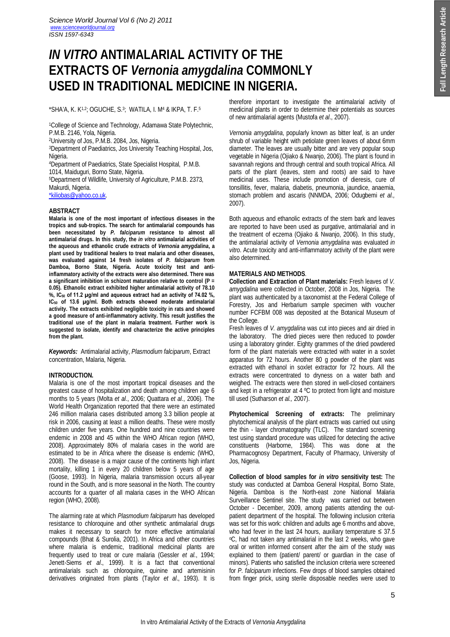# *IN VITRO* **ANTIMALARIAL ACTIVITY OF THE EXTRACTS OF** *Vernonia amygdalina* **COMMONLY USED IN TRADITIONAL MEDICINE IN NIGERIA.**

\*SHA'A, K. K1,2; OGUCHE, S.<sup>3</sup> ; WATILA, I. M<sup>4</sup> & IKPA, T. F.<sup>5</sup>

<sup>1</sup>College of Science and Technology, Adamawa State Polytechnic, P.M.B. 2146, Yola, Nigeria.

<sup>2</sup>University of Jos, P.M.B. 2084, Jos, Nigeria.

<sup>3</sup>Department of Paediatrics, Jos University Teaching Hospital, Jos, Nigeria.

<sup>4</sup>Department of Paediatrics, State Specialist Hospital, P.M.B. 1014, Maiduguri, Borno State, Nigeria.

<sup>5</sup>Department of Wildlife, University of Agriculture, P.M.B. 2373, Makurdi, Nigeria.

\*kiliobas@yahoo.co.uk.

# **ABSTRACT**

**Malaria is one of the most important of infectious diseases in the tropics and sub-tropics. The search for antimalarial compounds has been necessitated by** *P. falciparum* **resistance to almost all antimalarial drugs. In this study, the** *in vitro* **antimalarial activities of the aqueous and ethanolic crude extracts of** *Vernonia amygdalina***, a plant used by traditional healers to treat malaria and other diseases, was evaluated against 14 fresh isolates of** *P. falciparum* **from Damboa, Borno State, Nigeria. Acute toxicity test and antiinflammatory activity of the extracts were also determined. There was a significant inhibition in schizont maturation relative to control (P = 0.05). Ethanolic extract exhibited higher antimalarial activity of 78.10 %, IC<sup>50</sup> of 11.2 µg/ml and aqueous extract had an activity of 74.02 %, IC<sup>50</sup> of 13.6 µg/ml. Both extracts showed moderate antimalarial activity. The extracts exhibited negligible toxicity in rats and showed a good measure of anti-inflammatory activity. This result justifies the traditional use of the plant in malaria treatment. Further work is suggested to isolate, identify and characterize the active principles from the plant.** 

*Keywords:* Antimalarial activity, *Plasmodium falciparum*, Extract concentration, Malaria, Nigeria.

# **INTRODUCTION.**

Malaria is one of the most important tropical diseases and the greatest cause of hospitalization and death among children age 6 months to 5 years (Molta *et al*., 2006; Quattara *et al*., 2006). The World Health Organization reported that there were an estimated 246 million malaria cases distributed among 3.3 billion people at risk in 2006, causing at least a million deaths. These were mostly children under five years. One hundred and nine countries were endemic in 2008 and 45 within the WHO African region (WHO, 2008). Approximately 80% of malaria cases in the world are estimated to be in Africa where the disease is endemic (WHO, 2008). The disease is a major cause of the continents high infant mortality, killing 1 in every 20 children below 5 years of age (Goose, 1993). In Nigeria, malaria transmission occurs all-year round in the South, and is more seasonal in the North. The country accounts for a quarter of all malaria cases in the WHO African region (WHO, 2008).

The alarming rate at which *Plasmodium falciparum* has developed resistance to chloroquine and other synthetic antimalarial drugs makes it necessary to search for more effective antimalarial compounds (Bhat & Surolia, 2001). In Africa and other countries where malaria is endemic, traditional medicinal plants are frequently used to treat or cure malaria (Gessler *et al.*, 1994; Jenett-Siems *et al*., 1999). It is a fact that conventional antimalarials such as chloroquine, quinine and artemisinin derivatives originated from plants (Taylor *et al*., 1993). It is therefore important to investigate the antimalarial activity of medicinal plants in order to determine their potentials as sources of new antimalarial agents (Mustofa *et al*., 2007).

*Vernonia amygdalina*, popularly known as bitter leaf, is an under shrub of variable height with petiolate green leaves of about 6mm diameter. The leaves are usually bitter and are very popular soup vegetable in Nigeria (Ojiako & Nwanjo, 2006). The plant is found in savannah regions and through central and south tropical Africa. All parts of the plant (leaves, stem and roots) are said to have medicinal uses. These include promotion of dieresis, cure of tonsillitis, fever, malaria, diabetis, pneumonia, jaundice, anaemia, stomach problem and ascaris (NNMDA, 2006; Odugbemi *et al.,*  2007).

Both aqueous and ethanolic extracts of the stem bark and leaves are reported to have been used as purgative, antimalarial and in the treatment of eczema (Ojiako & Nwanjo, 2006). In this study, the antimalarial activity of *Vernonia amygdalina* was evaluated *in vitro*. Acute toxicity and anti-inflammatory activity of the plant were also determined.

# **MATERIALS AND METHODS**.

**Collection and Extraction of Plant materials:** Fresh leaves of *V. amygdalina* were collected in October, 2008 in Jos, Nigeria. The plant was authenticated by a taxonomist at the Federal College of Forestry, Jos and Herbarium sample specimen with voucher number FCFBM 008 was deposited at the Botanical Museum of the College.

Fresh leaves of *V. amygdalina* was cut into pieces and air dried in the laboratory. The dried pieces were then reduced to powder using a laboratory grinder. Eighty grammes of the dried powdered form of the plant materials were extracted with water in a soxlet apparatus for 72 hours. Another 80 g powder of the plant was extracted with ethanol in soxlet extractor for 72 hours. All the extracts were concentrated to dryness on a water bath and weighed. The extracts were then stored in well-closed containers and kept in a refrigerator at 4 ºC to protect from light and moisture till used (Sutharson *et al.,* 2007).

**Phytochemical Screening of extracts:** The preliminary phytochemical analysis of the plant extracts was carried out using the thin - layer chromatography (TLC). The standard screening test using standard procedure was utilized for detecting the active constituents (Harborne, 1984). This was done at the Pharmacognosy Department, Faculty of Pharmacy, University of Jos, Nigeria.

**Collection of blood samples for** *in vitro* **sensitivity test:** The study was conducted at Damboa General Hospital, Borno State, Nigeria. Damboa is the North-east zone National Malaria Surveillance Sentinel site. The study was carried out between October - December, 2009, among patients attending the outpatient department of the hospital. The following inclusion criteria was set for this work: children and adults age 6 months and above, who had fever in the last 24 hours, auxiliary temperature  $\leq 37.5$ <sup>o</sup>C, had not taken any antimalarial in the last 2 weeks, who gave oral or written informed consent after the aim of the study was explained to them (patient/ parent/ or guardian in the case of minors). Patients who satisfied the inclusion criteria were screened for *P. falciparum* infections. Few drops of blood samples obtained from finger prick, using sterile disposable needles were used to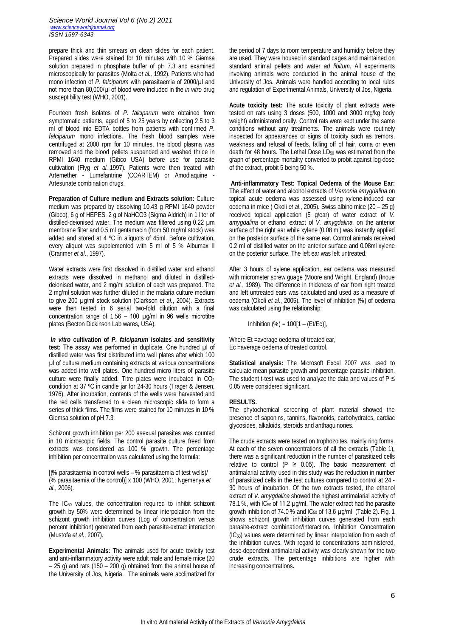*Science World Journal Vol 6 (No 2) 2011 www.scienceworldjournal.org ISSN 1597-6343*

prepare thick and thin smears on clean slides for each patient. Prepared slides were stained for 10 minutes with 10 % Giemsa solution prepared in phosphate buffer of pH 7.3 and examined microscopically for parasites (Molta *et al.,* 1992). Patients who had mono infection of *P. falciparum* with parasitaemia of 2000/µl and not more than 80,000/µl of blood were included in the *in vitro* drug susceptibility test (WHO, 2001).

Fourteen fresh isolates of *P. falciparum* were obtained from symptomatic patients, aged of 5 to 25 years by collecting 2.5 to 3 ml of blood into EDTA bottles from patients with confirmed *P*. *falciparum* mono infections. The fresh blood samples were centrifuged at 2000 rpm for 10 minutes, the blood plasma was removed and the blood pellets suspended and washed thrice in RPMI 1640 medium (Gibco USA) before use for parasite cultivation (Flyg *et al.*,1997). Patients were then treated with Artemether - Lumefantrine (COARTEM) or Amodiaquine - Artesunate combination drugs.

**Preparation of Culture medium and Extracts solution:** Culture medium was prepared by dissolving 10.43 g RPMI 1640 powder (Gibco), 6 g of HEPES, 2 g of NaHCO3 (Sigma Aldrich) in 1 liter of distilled-deionised water. The medium was filtered using 0.22 µm membrane filter and 0.5 ml gentamacin (from 50 mg/ml stock) was added and stored at 4 ºC in aliquots of 45ml. Before cultivation, every aliquot was supplemented with 5 ml of 5 % Albumax II (Cranmer *et al*., 1997).

Water extracts were first dissolved in distilled water and ethanol extracts were dissolved in methanol and diluted in distilleddeionised water, and 2 mg/ml solution of each was prepared. The 2 mg/ml solution was further diluted in the malaria culture medium to give 200 µg/ml stock solution (Clarkson *et al.*, 2004). Extracts were then tested in 6 serial two-fold dilution with a final concentration range of  $1.56 - 100 \mu g/ml$  in 96 wells microtitre plates (Becton Dickinson Lab wares, USA).

*In vitro* **cultivation of** *P. falciparum* **isolates and sensitivity**  test: The assay was performed in duplicate. One hundred  $\mu$ l of distilled water was first distributed into well plates after which 100 µl of culture medium containing extracts at various concentrations was added into well plates. One hundred micro liters of parasite culture were finally added. Titre plates were incubated in  $CO<sub>2</sub>$ condition at 37 ºC in candle jar for 24-30 hours (Trager & Jensen, 1976). After incubation, contents of the wells were harvested and the red cells transferred to a clean microscopic slide to form a series of thick films. The films were stained for 10 minutes in 10 % Giemsa solution of pH 7.3.

Schizont growth inhibition per 200 asexual parasites was counted in 10 microscopic fields. The control parasite culture freed from extracts was considered as 100 % growth. The percentage inhibition per concentration was calculated using the formula:

[(% parasitaemia in control wells – % parasitaemia of test wells)/ (% parasitaemia of the control)] x 100 (WHO, 2001; Ngemenya *et al*., 2006).

The IC<sup>50</sup> values, the concentration required to inhibit schizont growth by 50% were determined by linear interpolation from the schizont growth inhibition curves (Log of concentration versus percent inhibition) generated from each parasite-extract interaction (Mustofa *et al.*, 2007).

**Experimental Animals:** The animals used for acute toxicity test and anti-inflammatory activity were adult male and female mice (20 – 25 g) and rats (150 – 200 g) obtained from the animal house of the University of Jos, Nigeria. The animals were acclimatized for the period of 7 days to room temperature and humidity before they are used. They were housed in standard cages and maintained on standard animal pellets and water *ad libitum*. All experiments involving animals were conducted in the animal house of the University of Jos. Animals were handled according to local rules and regulation of Experimental Animals, University of Jos, Nigeria.

**Acute toxicity test:** The acute toxicity of plant extracts were tested on rats using 3 doses (500, 1000 and 3000 mg/kg body weight) administered orally. Control rats were kept under the same conditions without any treatments. The animals were routinely inspected for appearances or signs of toxicity such as tremors, weakness and refusal of feeds, falling off of hair, coma or even death for 48 hours. The Lethal Dose LD<sub>50</sub> was estimated from the graph of percentage mortality converted to probit against log-dose of the extract, probit 5 being 50 %.

**Anti-inflammatory Test: Topical Oedema of the Mouse Ear:**  The effect of water and alcohol extracts of *Vernonia amygdalina* on topical acute oedema was assessed using xylene-induced ear oedema in mice ( Okoli *et al*., 2005). Swiss albino mice (20 – 25 g) received topical application (5 g/ear) of water extract of *V. amygdalina* or ethanol extract of *V. amygdalina*, on the anterior surface of the right ear while xylene (0.08 ml) was instantly applied on the posterior surface of the same ear. Control animals received 0.2 ml of distilled water on the anterior surface and 0.08ml xylene on the posterior surface. The left ear was left untreated.

After 3 hours of xylene application, ear oedema was measured with micrometer screw guage (Moore and Wright, England) (Inoue *et al.*, 1989). The difference in thickness of ear from right treated and left untreated ears was calculated and used as a measure of oedema (Okoli *et al.*, 2005). The level of inhibition (%) of oedema was calculated using the relationship:

Inhibition  $%$  = 100[1 – (Et/Ec)],

Where Et =average oedema of treated ear, Ec =average oedema of treated control.

**Statistical analysis:** The Microsoft Excel 2007 was used to calculate mean parasite growth and percentage parasite inhibition. The student t-test was used to analyze the data and values of  $P \leq$ 0.05 were considered significant.

### **RESULTS.**

The phytochemical screening of plant material showed the presence of saponins, tannins, flavonoids, carbohydrates, cardiac glycosides, alkaloids, steroids and anthaquinones.

The crude extracts were tested on trophozoites, mainly ring forms. At each of the seven concentrations of all the extracts (Table 1), there was a significant reduction in the number of parasitized cells relative to control (P  $\geq$  0.05). The basic measurement of antimalarial activity used in this study was the reduction in number of parasitized cells in the test cultures compared to control at 24 - 30 hours of incubation. Of the two extracts tested, the ethanol extract of *V. amygdalina* showed the highest antimalarial activity of 78.1 %, with  $IC_{50}$  of 11.2 µg/ml. The water extract had the parasite growth inhibition of 74.0 % and  $IC_{50}$  of 13.6  $\mu q/ml$  (Table 2). Fig. 1 shows schizont growth inhibition curves generated from each parasite-extract combination/interaction. Inhibition Concentration (IC50) values were determined by linear interpolation from each of the inhibition curves. With regard to concentrations administered, dose-dependent antimalarial activity was clearly shown for the two crude extracts. The percentage inhibitions are higher with increasing concentrations**.**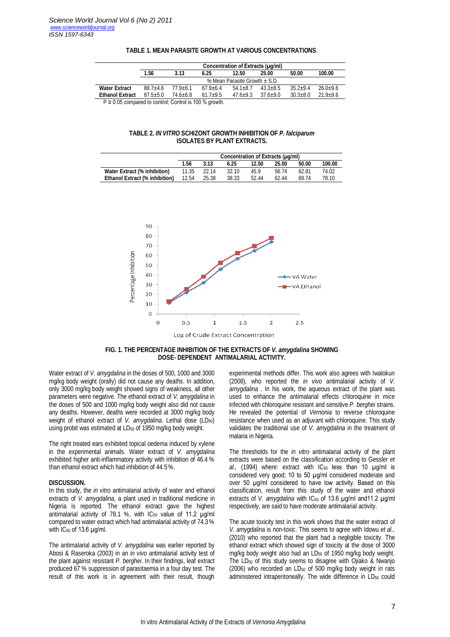|                                                            | Concentration of Extracts (µg/ml) |              |              |              |              |              |              |  |  |  |
|------------------------------------------------------------|-----------------------------------|--------------|--------------|--------------|--------------|--------------|--------------|--|--|--|
|                                                            | 1.56                              | 3.13         | 6.25         | 12.50        | 25.00        | 50.00        | 100.00       |  |  |  |
|                                                            | % Mean Parasite Growth + S.D.     |              |              |              |              |              |              |  |  |  |
| <b>Water Extract</b>                                       | $88.7 + 4.6$                      | $77.9 + 6.1$ | $679+64$     | $54.1 + 8.7$ | $43.3 + 8.5$ | $35.2 + 9.4$ | $26.0+9.6$   |  |  |  |
| <b>Ethanol Extract</b>                                     | $87.5 + 5.0$                      | $74.6 + 6.8$ | $61.7 + 9.5$ | $47.6 + 9.3$ | $37.6 + 9.0$ | $30.3 + 8.0$ | $21.9 + 9.6$ |  |  |  |
| $P \ge 0.05$ compared to control; Control is 100 % growth. |                                   |              |              |              |              |              |              |  |  |  |

## **TABLE 1. MEAN PARASITE GROWTH AT VARIOUS CONCENTRATIONS**.

## **TABLE 2.** *IN VITRO* **SCHIZONT GROWTH INHIBITION OF** *P. falciparum* **ISOLATES BY PLANT EXTRACTS.**

|                                       | Concentration of Extracts (µg/ml) |       |       |       |       |       |        |  |  |
|---------------------------------------|-----------------------------------|-------|-------|-------|-------|-------|--------|--|--|
|                                       | 1.56                              | 3.13  | 6.25  | 12.50 | 25.00 | 50.00 | 100.00 |  |  |
| Water Extract (% inhibition)          | 11.35                             | 22.14 | 32.10 | 45.9  | 56.74 | 62.81 | 74.02  |  |  |
| <b>Ethanol Extract (% inhibition)</b> | 12.54                             | 25.38 | 38.33 | 52.44 | 62.44 | 69.74 | 78.10  |  |  |



Log of Crude Extract Concentration

# **FIG. 1. THE PERCENTAGE INHIBITION OF THE EXTRACTS OF** *V. amygdalina* **SHOWING DOSE- DEPENDENT ANTIMALARIAL ACTIVITY.**

Water extract of *V. amygdalina* in the doses of 500, 1000 and 3000 mg/kg body weight (orally) did not cause any deaths. In addition, only 3000 mg/kg body weight showed signs of weakness, all other parameters were negative. The ethanol extract of *V. amygdalina* in the doses of 500 and 1000 mg/kg body weight also did not cause any deaths. However, deaths were recorded at 3000 mg/kg body weight of ethanol extract of *V. amygdalina*. Lethal dose (LD<sub>50</sub>) using probit was estimated at LD<sub>50</sub> of 1950 mg/kg body weight.

The right treated ears exhibited topical oedema induced by xylene in the experimental animals. Water extract of *V. amygdalina* exhibited higher anti-inflammatory activity with inhibition of 46.4 % than ethanol extract which had inhibition of 44.5 %.

### **DISCUSSION.**

In this study, the *in vitro* antimalarial activity of water and ethanol extracts of *V. amygdalina*, a plant used in traditional medicine in Nigeria is reported. The ethanol extract gave the highest antimalarial activity of 78.1 %, with  $IC_{50}$  value of 11.2  $\mu$ g/ml compared to water extract which had antimalarial activity of 74.3 % with  $IC_{50}$  of 13.6  $\mu$ g/ml.

The antimalarial activity of *V. amygdalina* was earlier reported by Abosi & Raseroka (2003) in an *in vivo* antimalarial activity test of the plant against resistant *P. berghei*. In their findings, leaf extract produced 67 % suppression of parasitaemia in a four day test. The result of this work is in agreement with their result, though

experimental methods differ. This work also agrees with Iwalokun (2008), who reported the *in vivo* antimalarial activity of *V. amygdalina* . In his work, the aqueous extract of the plant was used to enhance the antimalarial effects chloroquine in mice infected with chloroquine resistant and sensitive *P. berghei* strains. He revealed the potential of *Vernonia* to reverse chloroquine resistance when used as an adjuvant with chloroquine. This study validates the traditional use of *V. amygdalina* in the treatment of malaria in Nigeria.

The thresholds for the *in vitro* antimalarial activity of the plant extracts were based on the classification according to Gessler *et*   $al.$ , (1994) where: extract with  $IC_{50}$  less than 10  $\mu q$ /ml is considered very good; 10 to 50 µg/ml considered moderate and over 50 µg/ml considered to have low activity. Based on this classification, result from this study of the water and ethanol extracts of *V. amygdalina* with IC<sub>50</sub> of 13.6 µg/ml and11.2 µg/ml respectively, are said to have moderate antimalarial activity.

The acute toxicity test in this work shows that the water extract of *V. amygdalina* is non-toxic. This seems to agree with Idowu *et al*., (2010) who reported that the plant had a negligible toxicity. The ethanol extract which showed sign of toxicity at the dose of 3000 mg/kg body weight also had an LD<sub>50</sub> of 1950 mg/kg body weight. The LD<sup>50</sup> of this study seems to disagree with Ojiako & Nwanjo  $(2006)$  who recorded an LD<sub>50</sub> of 500 mg/kg body weight in rats administered intraperitoneally. The wide difference in LD<sub>50</sub> could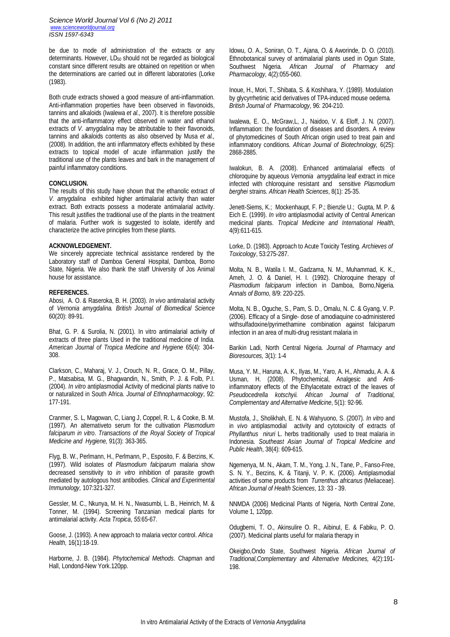*Science World Journal Vol 6 (No 2) 2011 www.scienceworldjournal.org ISSN 1597-6343*

be due to mode of administration of the extracts or any determinants. However, LD<sub>50</sub> should not be regarded as biological constant since different results are obtained on repetition or when the determinations are carried out in different laboratories (Lorke (1983).

Both crude extracts showed a good measure of anti-inflammation. Anti-inflammation properties have been observed in flavonoids, tannins and alkaloids (Iwalewa *et al.,* 2007). It is therefore possible that the anti-inflammatory effect observed in water and ethanol extracts of *V. amygdalina* may be attributable to their flavonoids, tannins and alkaloids contents as also observed by Musa *et al.,*  (2008). In addition, the anti inflammatory effects exhibited by these extracts to topical model of acute inflammation justify the traditional use of the plants leaves and bark in the management of painful inflammatory conditions.

### **CONCLUSION.**

The results of this study have shown that the ethanolic extract of *V. amygdalina* exhibited higher antimalarial activity than water extract. Both extracts possess a moderate antimalarial activity. This result justifies the traditional use of the plants in the treatment of malaria. Further work is suggested to isolate, identify and characterize the active principles from these plants.

## **ACKNOWLEDGEMENT.**

We sincerely appreciate technical assistance rendered by the Laboratory staff of Damboa General Hospital, Damboa, Borno State, Nigeria. We also thank the staff University of Jos Animal house for assistance.

#### **REFERENCES.**

Abosi, A. O. & Raseroka, B. H. (2003). *In vivo* antimalarial activity of *Vernonia amygdalina. British Journal of Biomedical Science* 60(20): 89-91.

Bhat, G. P. & Surolia, N. (2001). In vitro antimalarial activity of extracts of three plants Used in the traditional medicine of India. *American Journal of Tropica Medicine and Hygiene* 65(4): 304- 308.

Clarkson, C., Maharaj, V. J., Crouch, N. R., Grace, O. M., Pillay, P., Matsabisa, M. G., Bhagwandin, N., Smith, P. J. & Folb, P.I. (2004). *In vitro* antiplasmodial Activity of medicinal plants native to or naturalized in South Africa. *Journal of Ethnopharmacology*, 92: 177-191.

Cranmer, S. L, Magowan, C, Liang J, Coppel, R. L, & Cooke, B. M. (1997). An alternativeto serum for the cultivation *Plasmodium falciparum in vitro*. *Transactions of the Royal Society of Tropical Medicine and Hygiene,* 91(3): 363-365.

Flyg, B. W., Perlmann, H., Perlmann, P., Esposito, F. & Berzins, K. (1997). Wild isolates of *Plasmodium falciparum* malaria show decreased sensitivity to *in vitro* inhibition of parasite growth mediated by autologous host antibodies. *Clinical and Experimental Immunology,* 107:321-327*.*

Gessler, M. C., Nkunya, M. H. N., Nwasumbi, L. B., Heinrich, M. & Tonner, M. (1994). Screening Tanzanian medical plants for antimalarial activity. *Acta Tropica*, *55*:65-67.

Goose, J. (1993). A new approach to malaria vector control. *Africa Health,* 16(1):18-19.

Harborne, J. B. (1984). *Phytochemical Methods*. Chapman and Hall, Londond-New York.120pp.

Idowu, O. A., Soniran, O. T., Ajana, O. & Aworinde, D. O. (2010). Ethnobotanical survey of antimalarial plants used in Ogun State, Southwest Nigeria*. African Journal of Pharmacy and Pharmacology*, 4(2):055-060.

Inoue, H., Mori, T., Shibata, S. & Koshihara, Y. (1989). Modulation by glycyrrhetinic acid derivatives of TPA-induced mouse oedema*. British Journal of Pharmacology*, 96: 204-210.

Iwalewa, E. O., McGraw,L, J., Naidoo, V. & Eloff, J. N. (2007). Inflammation: the foundation of diseases and disorders. A review of phytomedicines of South African origin used to treat pain and inflammatory conditions. *African Journal of Biotechnology,* 6(25): 2868-2885.

Iwalokun, B. A. (2008). Enhanced antimalarial effects of chloroquine by aqueous *Vernonia amygdalina* leaf extract in mice infected with chloroquine resistant and sensitive *Plasmodium berghei* strains. *African Health Sciences*, 8(1): 25-35.

Jenett-Siems, K.; Mockenhaupt, F. P.; Bienzle U.; Gupta, M. P. & Eich E. (1999). *In vitro* antiplasmodial activity of Central American medicinal plants. *Tropical Medicine and International Health*, 4(9):611-615.

Lorke, D. (1983). Approach to Acute Toxicity Testing. *Archieves of Toxicology*, 53:275-287.

Molta, N. B., Watila I. M., Gadzama, N. M., Muhammad, K. K., Ameh, J. O. & Daniel, H. I. (1992). Chloroquine therapy of *Plasmodium falciparum* infection in Damboa, Borno,Nigeria*. Annals of Borno*, 8/9: 220-225.

Molta, N. B., Oguche, S., Pam, S. D., Omalu, N. C. & Gyang, V. P. (2006). Efficacy of a Single- dose of amodiaquine co-administered withsulfadoxine/pyrimethamine combination against falciparum infection in an area of multi-drug resistant malaria in

Barikin Ladi, North Central Nigeria. *Journal of Pharmacy and Bioresources,* 3(1): 1-4

Musa, Y. M., Haruna, A. K., Ilyas, M., Yaro, A. H., Ahmadu, A. A. & Usman, H. (2008). Phytochemical, Analgesic and Antiinflammatory effects of the Ethylacetate extract of the leaves of *Pseudocedrella kotschyii. African Journal of Traditional, Complementary and Alternative Medicine*, 5(1): 92-96.

Mustofa, J., Sholikhah, E. N. & Wahyuono, S. (2007). *In vitro* and in *vivo* antiplasmodial activity and cytotoxicity of extracts of Phyllanthus niruri L. herbs traditionally used to treat malaria in Indonesia. *Southeast Asian Journal of Tropical Medicine and Public Health*, 38(4): 609-615.

Ngemenya, M. N., Akam, T. M., Yong, J. N., Tane, P., Fanso-Free, S. N. Y., Berzins, K. & Titanji, V. P. K. (2006). Antiplasmodial activities of some products from *Turrenthus africanus* (Meliaceae). *African Journal of Health Sciences*, 13: 33 - 39.

NNMDA (2006) Medicinal Plants of Nigeria, North Central Zone, Volume 1, 120pp.

Odugbemi, T. O., Akinsulire O. R., AibinuI, E. & Fabiku, P. O. (2007). Medicinal plants useful for malaria therapy in

Okeigbo,Ondo State, Southwest Nigeria. *African Journal of Traditional,Complementary and Alternative Medicines,* 4(2):191- 198.